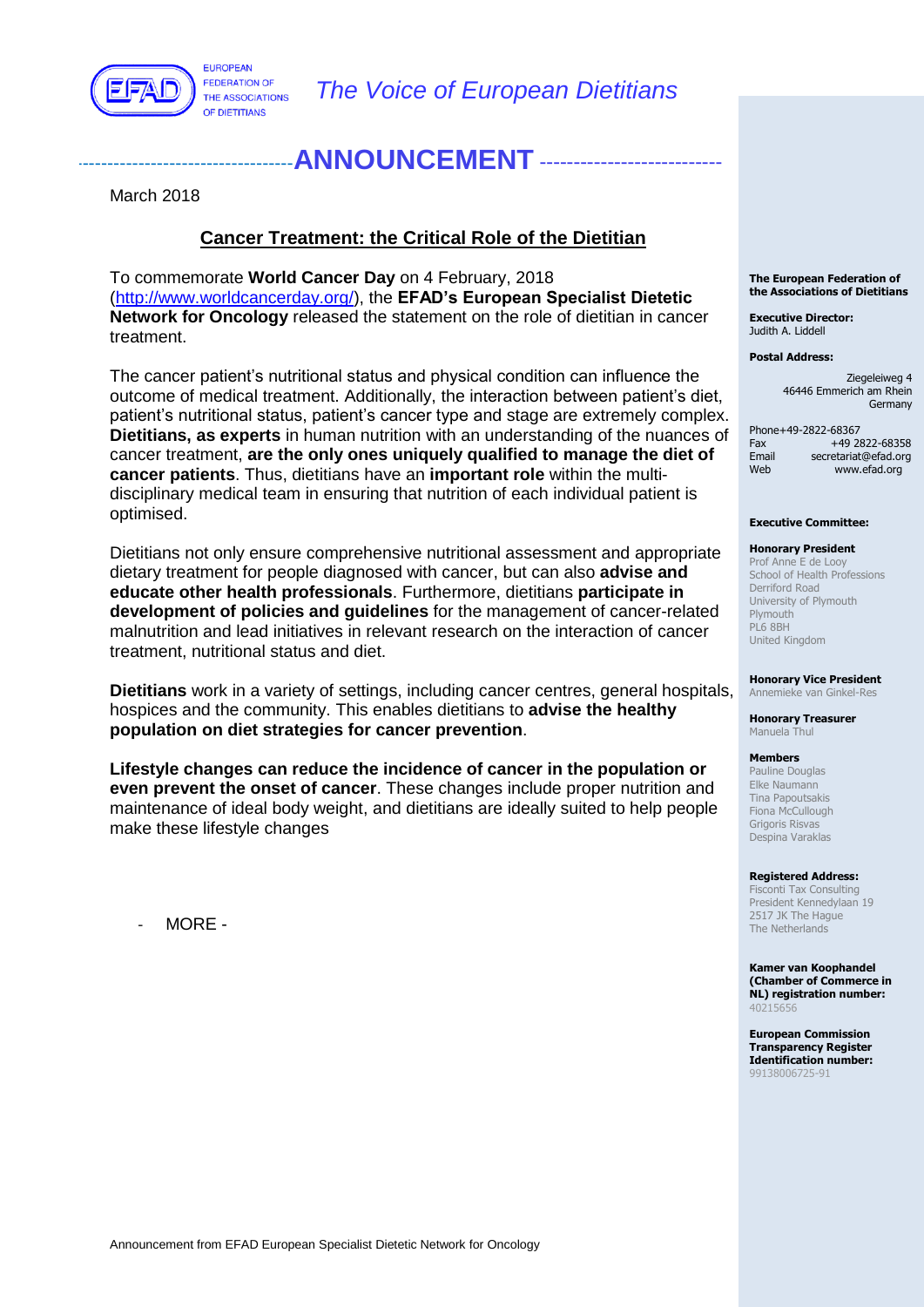

**FUROPEAN FEDERATION OF** THE ASSOCIATIONS OF DIETITIANS

# ANNOUNCEMENT ----

March 2018

### **Cancer Treatment: the Critical Role of the Dietitian**

To commemorate **World Cancer Day** on 4 February, 2018 [\(http://www.worldcancerday.org/\)](http://www.worldcancerday.org/), the **EFAD's European Specialist Dietetic Network for Oncology** released the statement on the role of dietitian in cancer treatment.

The cancer patient's nutritional status and physical condition can influence the outcome of medical treatment. Additionally, the interaction between patient's diet, patient's nutritional status, patient's cancer type and stage are extremely complex. **Dietitians, as experts** in human nutrition with an understanding of the nuances of cancer treatment, **are the only ones uniquely qualified to manage the diet of cancer patients**. Thus, dietitians have an **important role** within the multidisciplinary medical team in ensuring that nutrition of each individual patient is optimised.

Dietitians not only ensure comprehensive nutritional assessment and appropriate dietary treatment for people diagnosed with cancer, but can also **advise and educate other health professionals**. Furthermore, dietitians **participate in development of policies and guidelines** for the management of cancer-related malnutrition and lead initiatives in relevant research on the interaction of cancer treatment, nutritional status and diet.

**Dietitians** work in a variety of settings, including cancer centres, general hospitals, hospices and the community. This enables dietitians to **advise the healthy population on diet strategies for cancer prevention**.

**Lifestyle changes can reduce the incidence of cancer in the population or even prevent the onset of cancer**. These changes include proper nutrition and maintenance of ideal body weight, and dietitians are ideally suited to help people make these lifestyle changes

- MORE -

#### **The European Federation of the Associations of Dietitians**

**Executive Director:** Judith A. Liddell

#### **Postal Address:**

Ziegeleiweg 4 46446 Emmerich am Rhein Germany

Phone+49-2822-68367 Fax +49 2822-68358<br>Email secretariat@efad.org secretariat@efad.org Web www.efad.org

#### **Executive Committee:**

#### **Honorary President**

Prof Anne E de Looy School of Health Professions Derriford Road University of Plymouth Plymouth PL6 8BH United Kingdom

**Honorary Vice President**

Annemieke van Ginkel-Res

**Honorary Treasurer** Manuela Thul

### **Members**

Pauline Douglas Elke Naumann Tina Papoutsakis Fiona McCullough Grigoris Risvas Despina Varaklas

#### **Registered Address:**

Fisconti Tax Consulting President Kennedylaan 19 2517 JK The Haque The Netherlands

**Kamer van Koophandel (Chamber of Commerce in NL) registration number:** 40215656

**European Commission Transparency Register Identification number:** 99138006725-91